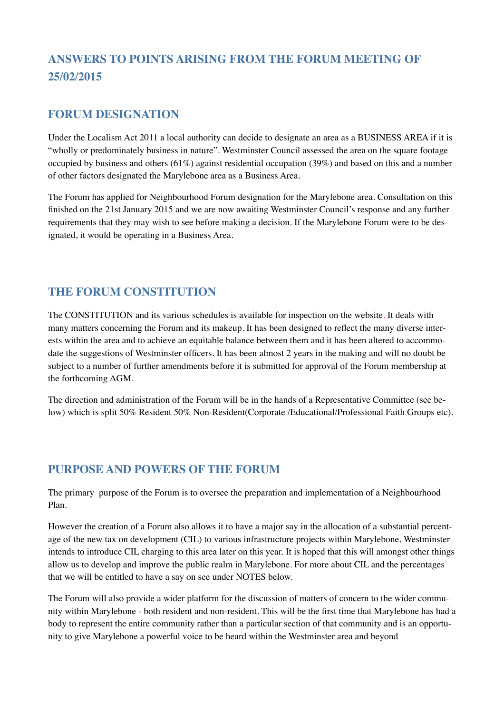# **ANSWERS TO POINTS ARISING FROM THE FORUM MEETING OF 25/02/2015**

### **FORUM DESIGNATION**

Under the Localism Act 2011 a local authority can decide to designate an area as a BUSINESS AREA if it is "wholly or predominately business in nature". Westminster Council assessed the area on the square footage occupied by business and others (61%) against residential occupation (39%) and based on this and a number of other factors designated the Marylebone area as a Business Area.

The Forum has applied for Neighbourhood Forum designation for the Marylebone area. Consultation on this finished on the 21st January 2015 and we are now awaiting Westminster Council's response and any further requirements that they may wish to see before making a decision. If the Marylebone Forum were to be designated, it would be operating in a Business Area.

# **THE FORUM CONSTITUTION**

The CONSTITUTION and its various schedules is available for inspection on the website. It deals with many matters concerning the Forum and its makeup. It has been designed to reflect the many diverse interests within the area and to achieve an equitable balance between them and it has been altered to accommodate the suggestions of Westminster officers. It has been almost 2 years in the making and will no doubt be subject to a number of further amendments before it is submitted for approval of the Forum membership at the forthcoming AGM.

The direction and administration of the Forum will be in the hands of a Representative Committee (see below) which is split 50% Resident 50% Non-Resident(Corporate /Educational/Professional Faith Groups etc).

#### **PURPOSE AND POWERS OF THE FORUM**

The primary purpose of the Forum is to oversee the preparation and implementation of a Neighbourhood Plan.

However the creation of a Forum also allows it to have a major say in the allocation of a substantial percentage of the new tax on development (CIL) to various infrastructure projects within Marylebone. Westminster intends to introduce CIL charging to this area later on this year. It is hoped that this will amongst other things allow us to develop and improve the public realm in Marylebone. For more about CIL and the percentages that we will be entitled to have a say on see under NOTES below.

The Forum will also provide a wider platform for the discussion of matters of concern to the wider community within Marylebone - both resident and non-resident. This will be the first time that Marylebone has had a body to represent the entire community rather than a particular section of that community and is an opportunity to give Marylebone a powerful voice to be heard within the Westminster area and beyond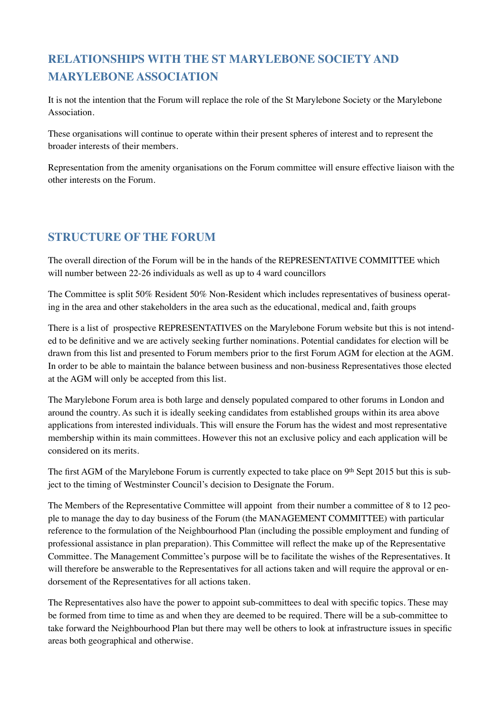# **RELATIONSHIPS WITH THE ST MARYLEBONE SOCIETY AND MARYLEBONE ASSOCIATION**

It is not the intention that the Forum will replace the role of the St Marylebone Society or the Marylebone Association.

These organisations will continue to operate within their present spheres of interest and to represent the broader interests of their members.

Representation from the amenity organisations on the Forum committee will ensure effective liaison with the other interests on the Forum.

## **STRUCTURE OF THE FORUM**

The overall direction of the Forum will be in the hands of the REPRESENTATIVE COMMITTEE which will number between 22-26 individuals as well as up to 4 ward councillors

The Committee is split 50% Resident 50% Non-Resident which includes representatives of business operating in the area and other stakeholders in the area such as the educational, medical and, faith groups

There is a list of prospective REPRESENTATIVES on the Marylebone Forum website but this is not intended to be definitive and we are actively seeking further nominations. Potential candidates for election will be drawn from this list and presented to Forum members prior to the first Forum AGM for election at the AGM. In order to be able to maintain the balance between business and non-business Representatives those elected at the AGM will only be accepted from this list.

The Marylebone Forum area is both large and densely populated compared to other forums in London and around the country. As such it is ideally seeking candidates from established groups within its area above applications from interested individuals. This will ensure the Forum has the widest and most representative membership within its main committees. However this not an exclusive policy and each application will be considered on its merits.

The first AGM of the Marylebone Forum is currently expected to take place on 9th Sept 2015 but this is subject to the timing of Westminster Council's decision to Designate the Forum.

The Members of the Representative Committee will appoint from their number a committee of 8 to 12 people to manage the day to day business of the Forum (the MANAGEMENT COMMITTEE) with particular reference to the formulation of the Neighbourhood Plan (including the possible employment and funding of professional assistance in plan preparation). This Committee will reflect the make up of the Representative Committee. The Management Committee's purpose will be to facilitate the wishes of the Representatives. It will therefore be answerable to the Representatives for all actions taken and will require the approval or endorsement of the Representatives for all actions taken.

The Representatives also have the power to appoint sub-committees to deal with specific topics. These may be formed from time to time as and when they are deemed to be required. There will be a sub-committee to take forward the Neighbourhood Plan but there may well be others to look at infrastructure issues in specific areas both geographical and otherwise.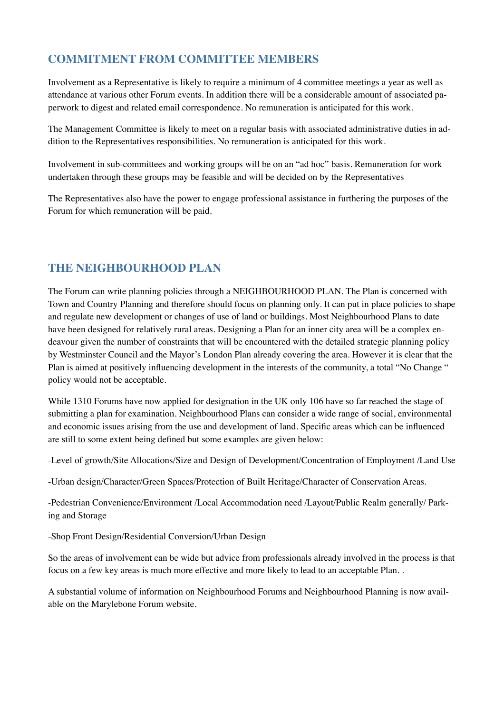# **COMMITMENT FROM COMMITTEE MEMBERS**

Involvement as a Representative is likely to require a minimum of 4 committee meetings a year as well as attendance at various other Forum events. In addition there will be a considerable amount of associated paperwork to digest and related email correspondence. No remuneration is anticipated for this work.

The Management Committee is likely to meet on a regular basis with associated administrative duties in addition to the Representatives responsibilities. No remuneration is anticipated for this work.

Involvement in sub-committees and working groups will be on an "ad hoc" basis. Remuneration for work undertaken through these groups may be feasible and will be decided on by the Representatives

The Representatives also have the power to engage professional assistance in furthering the purposes of the Forum for which remuneration will be paid.

## **THE NEIGHBOURHOOD PLAN**

The Forum can write planning policies through a NEIGHBOURHOOD PLAN. The Plan is concerned with Town and Country Planning and therefore should focus on planning only. It can put in place policies to shape and regulate new development or changes of use of land or buildings. Most Neighbourhood Plans to date have been designed for relatively rural areas. Designing a Plan for an inner city area will be a complex endeavour given the number of constraints that will be encountered with the detailed strategic planning policy by Westminster Council and the Mayor's London Plan already covering the area. However it is clear that the Plan is aimed at positively influencing development in the interests of the community, a total "No Change " policy would not be acceptable.

While 1310 Forums have now applied for designation in the UK only 106 have so far reached the stage of submitting a plan for examination. Neighbourhood Plans can consider a wide range of social, environmental and economic issues arising from the use and development of land. Specific areas which can be influenced are still to some extent being defined but some examples are given below:

-Level of growth/Site Allocations/Size and Design of Development/Concentration of Employment /Land Use

-Urban design/Character/Green Spaces/Protection of Built Heritage/Character of Conservation Areas.

-Pedestrian Convenience/Environment /Local Accommodation need /Layout/Public Realm generally/ Parking and Storage

-Shop Front Design/Residential Conversion/Urban Design

So the areas of involvement can be wide but advice from professionals already involved in the process is that focus on a few key areas is much more effective and more likely to lead to an acceptable Plan. .

A substantial volume of information on Neighbourhood Forums and Neighbourhood Planning is now available on the Marylebone Forum website.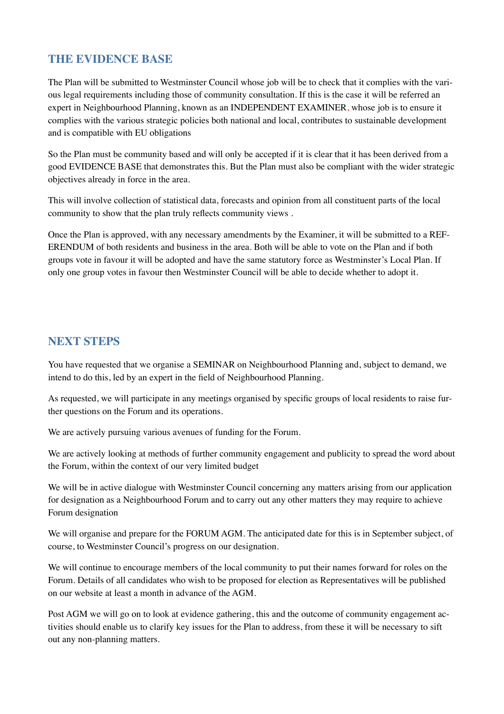#### **THE EVIDENCE BASE**

The Plan will be submitted to Westminster Council whose job will be to check that it complies with the various legal requirements including those of community consultation. If this is the case it will be referred an expert in Neighbourhood Planning, known as an INDEPENDENT EXAMINER, whose job is to ensure it complies with the various strategic policies both national and local, contributes to sustainable development and is compatible with EU obligations

So the Plan must be community based and will only be accepted if it is clear that it has been derived from a good EVIDENCE BASE that demonstrates this. But the Plan must also be compliant with the wider strategic objectives already in force in the area.

This will involve collection of statistical data, forecasts and opinion from all constituent parts of the local community to show that the plan truly reflects community views .

Once the Plan is approved, with any necessary amendments by the Examiner, it will be submitted to a REF-ERENDUM of both residents and business in the area. Both will be able to vote on the Plan and if both groups vote in favour it will be adopted and have the same statutory force as Westminster's Local Plan. If only one group votes in favour then Westminster Council will be able to decide whether to adopt it.

#### **NEXT STEPS**

You have requested that we organise a SEMINAR on Neighbourhood Planning and, subject to demand, we intend to do this, led by an expert in the field of Neighbourhood Planning.

As requested, we will participate in any meetings organised by specific groups of local residents to raise further questions on the Forum and its operations.

We are actively pursuing various avenues of funding for the Forum.

We are actively looking at methods of further community engagement and publicity to spread the word about the Forum, within the context of our very limited budget

We will be in active dialogue with Westminster Council concerning any matters arising from our application for designation as a Neighbourhood Forum and to carry out any other matters they may require to achieve Forum designation

We will organise and prepare for the FORUM AGM. The anticipated date for this is in September subject, of course, to Westminster Council's progress on our designation.

We will continue to encourage members of the local community to put their names forward for roles on the Forum. Details of all candidates who wish to be proposed for election as Representatives will be published on our website at least a month in advance of the AGM.

Post AGM we will go on to look at evidence gathering, this and the outcome of community engagement activities should enable us to clarify key issues for the Plan to address, from these it will be necessary to sift out any non-planning matters.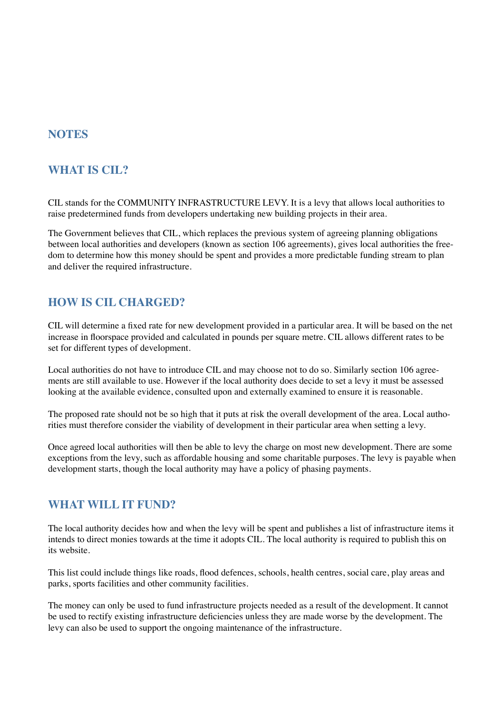#### **NOTES**

### **WHAT IS CIL?**

CIL stands for the COMMUNITY INFRASTRUCTURE LEVY. It is a levy that allows local authorities to raise predetermined funds from developers undertaking new building projects in their area.

The Government believes that CIL, which replaces the previous system of agreeing planning obligations between local authorities and developers (known as section 106 agreements), gives local authorities the freedom to determine how this money should be spent and provides a more predictable funding stream to plan and deliver the required infrastructure.

#### **HOW IS CIL CHARGED?**

CIL will determine a fixed rate for new development provided in a particular area. It will be based on the net increase in floorspace provided and calculated in pounds per square metre. CIL allows different rates to be set for different types of development.

Local authorities do not have to introduce CIL and may choose not to do so. Similarly section 106 agreements are still available to use. However if the local authority does decide to set a levy it must be assessed looking at the available evidence, consulted upon and externally examined to ensure it is reasonable.

The proposed rate should not be so high that it puts at risk the overall development of the area. Local authorities must therefore consider the viability of development in their particular area when setting a levy.

Once agreed local authorities will then be able to levy the charge on most new development. There are some exceptions from the levy, such as affordable housing and some charitable purposes. The levy is payable when development starts, though the local authority may have a policy of phasing payments.

#### **WHAT WILL IT FUND?**

The local authority decides how and when the levy will be spent and publishes a list of infrastructure items it intends to direct monies towards at the time it adopts CIL. The local authority is required to publish this on its website.

This list could include things like roads, flood defences, schools, health centres, social care, play areas and parks, sports facilities and other community facilities.

The money can only be used to fund infrastructure projects needed as a result of the development. It cannot be used to rectify existing infrastructure deficiencies unless they are made worse by the development. The levy can also be used to support the ongoing maintenance of the infrastructure.